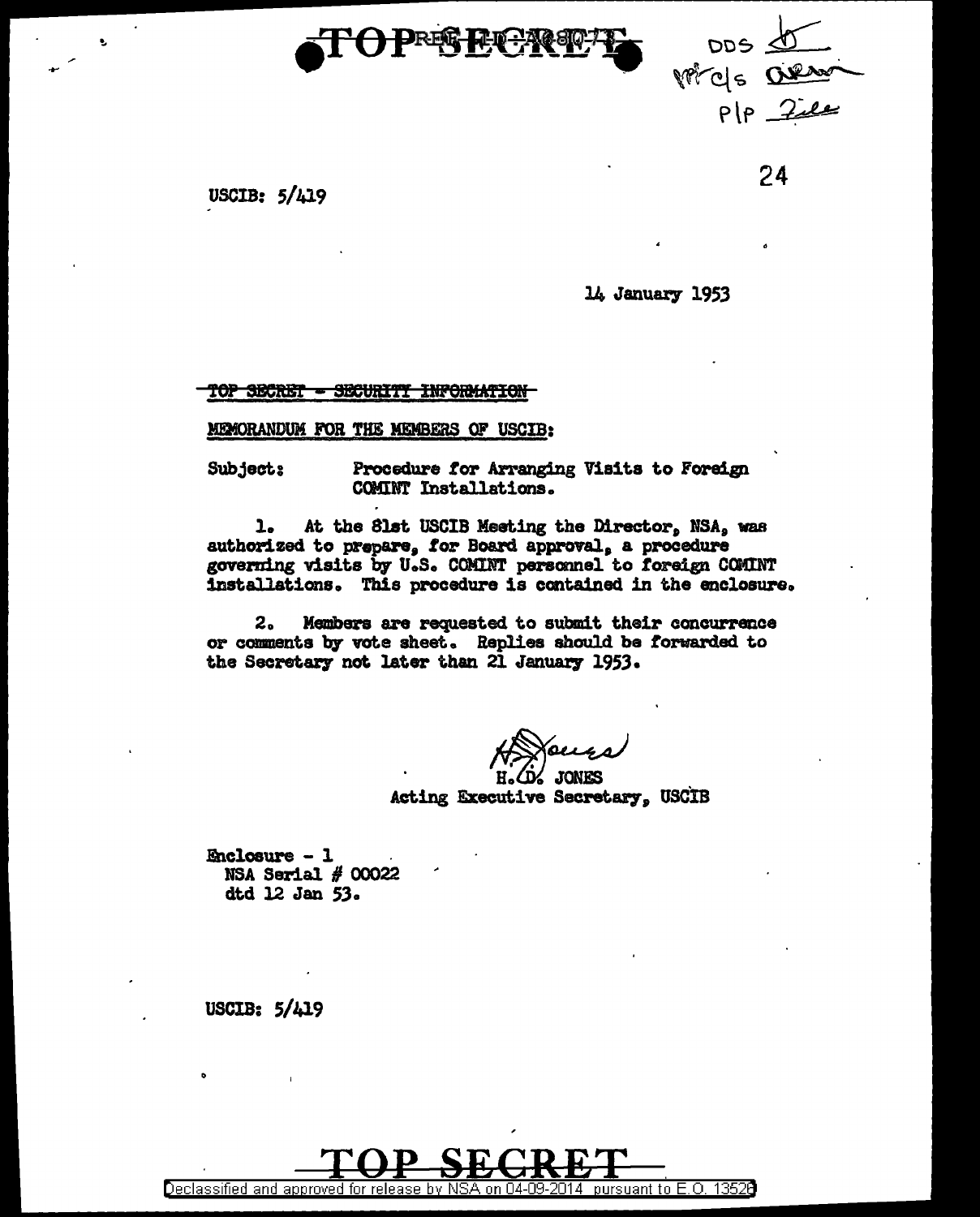



USCIB: 5/419

24

l4 January 1953

<u> TOP SBCRET - SECURITY INFORMATION</u>

mx>RANDUM FOR THE MEMBERS OF USCIB:

Subject: Procedure *tor* Arranging Visits to Foreign COMINT Installations.

1. At the Slst USCIB Meeting the Director, NSA, was authorized to prepare, for Board approval, a procedure governing visits by U.S. COMINT personnel to foreign COMINT installations. This procedure is ccntained in the enclosure.

2. Members are requested to submit their concurrence or comments by vote sheet. Replies should be forwarded to the Secretary not later than 21 January 1953.

H. (D' JONES<br>Acting Executive Secretary, USCIB

Enclosure - 1 . NSA Serial  $#$  00022 dtd l2 Jan SJ.

USCIB: 5/419

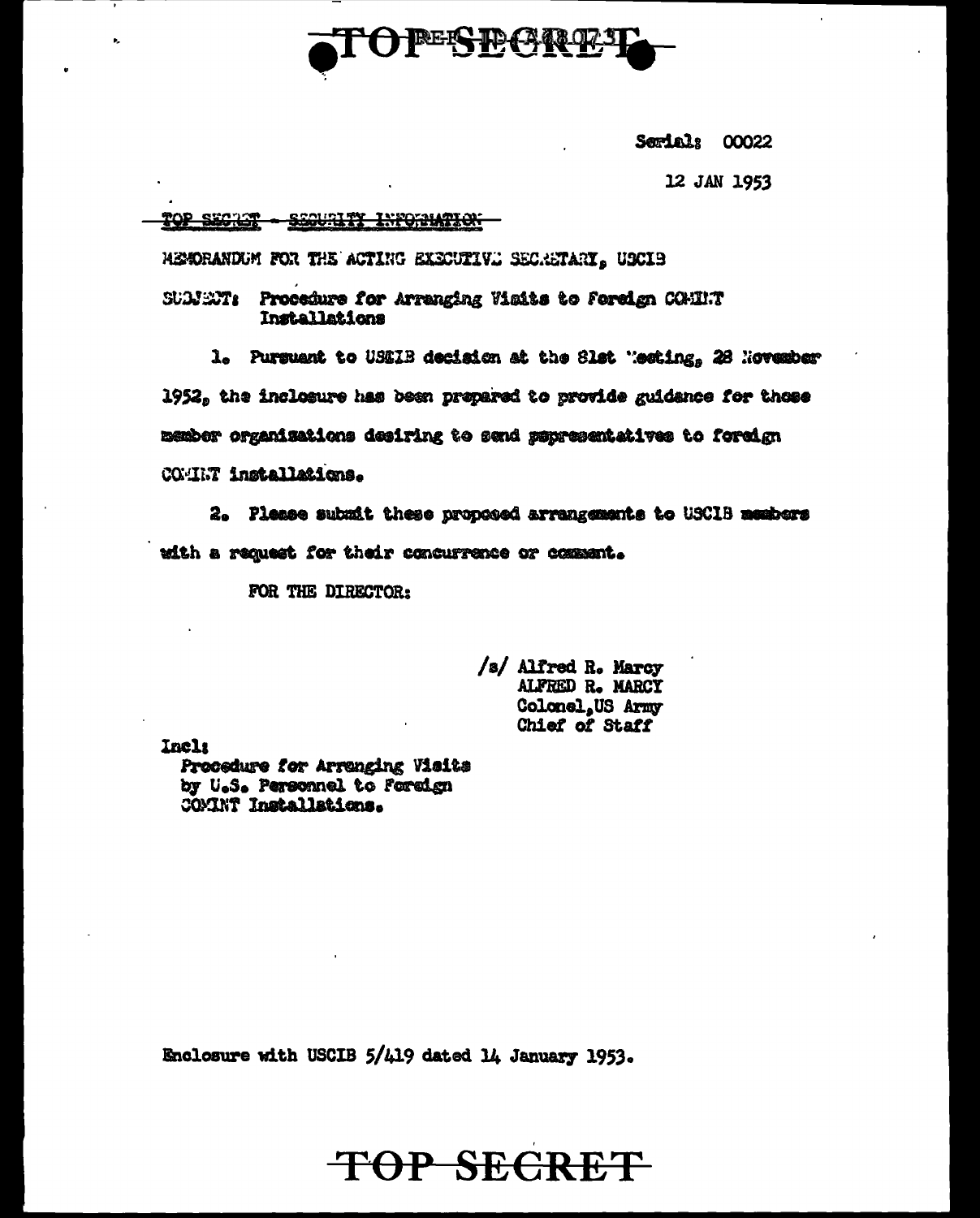

Serial: 00022

12 JAN 1953

## TOP SECTOR - SEQUILITY INFORMATION

HEMORANDUM FOR THE ACTING EXECUTIVE SECRETARY, USCIS

SUMENT: Procedure for Arranging Visits to Foreign COMINT Installations

1. Pursuant to USEIB decision at the Slat "esting, 28 November

1952, the inclosure has been prepared to provide guidance for those member organizations desiring to send sepresentatives to foreign COMINT installations.

2. Please submit these proposed arrangements to USCIB members with a request for their concurrence or comment.

FOR THE DIRECTOR:

/s/ Alfred R. Marcy ALFRED R. MARCY Colonel, US Army Chief of Staff

Incla

Procedure for Arranging Visits by U.S. Personnel to foreign COMINT Installations.

Enclosure with USCIB 5/419 dated 14 January 1953.

## TOP SECRET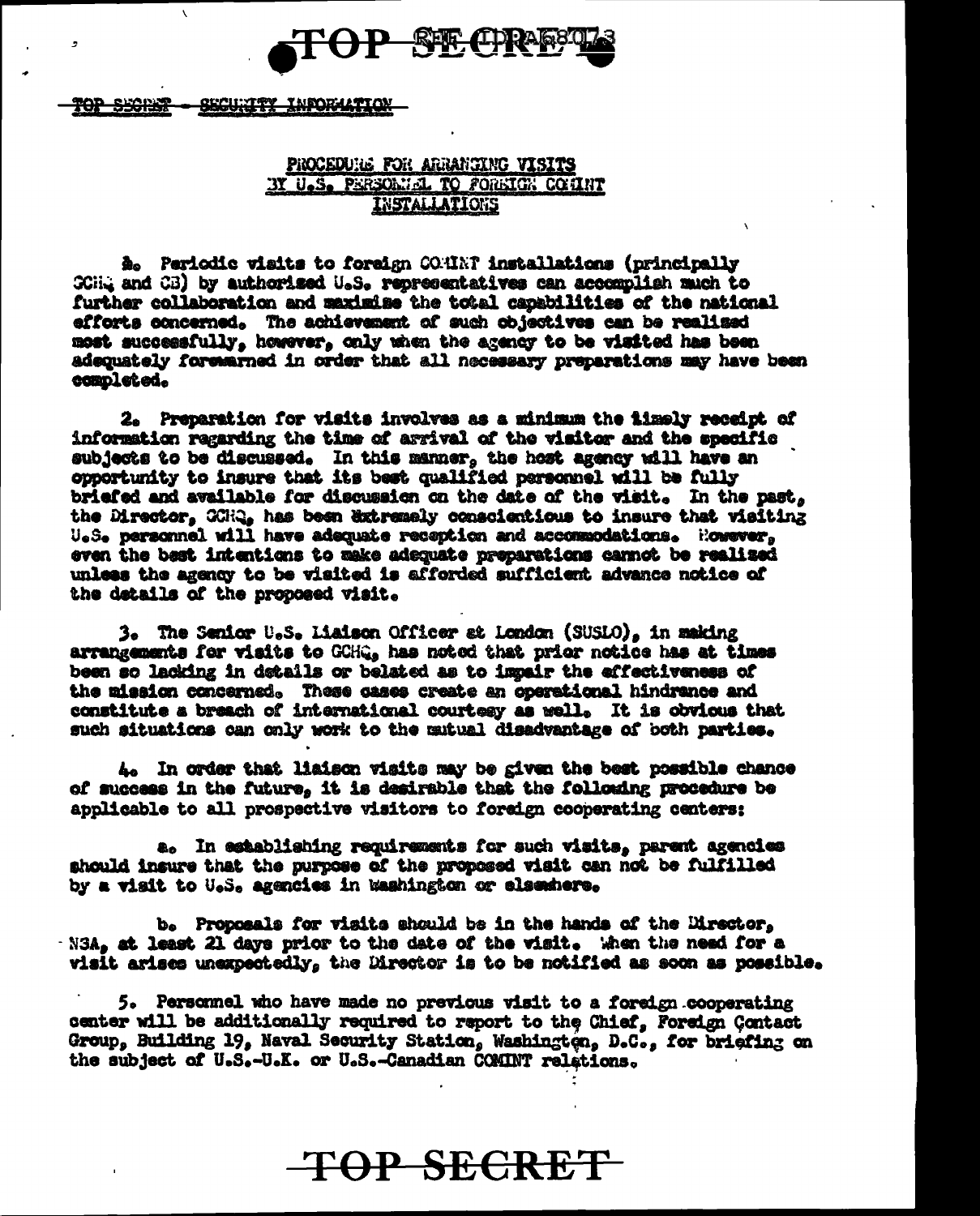

TOP SECRET <del>– Security Information</del>

b,

## PROCEDUILE FOR ARRANGING VISITS BY U.S. PERSONIAL TO FOREIGN COMMIT **INSTALLATIONS**

A. Periodic visits to foreign COMENT installations (principally SCHA and CB) by authorized U.S. representatives can accomplish much to further collaboration and maximine the total capabilities of the national efforts concerned. The achievement of such objectives can be realized most successfully, however, only when the agency to be visited has been adequately forewarned in order that all necessary preparations may have been completed.

2. Preparation for visits involves as a minimum the fixely receipt of information regarding the time of argival of the visitor and the specific subjects to be discussed. In this manner, the host agency will have an opportunity to insure that its best qualified personnel will be fully briefed and available for discussion on the date of the visit. In the past. the Director, CCHQ, has been extremely conscientious to insure that visiting U.S. personnel will have adequate reception and accommodations. However. even the bast intentions to make adequate preparations cannot be realized unless the agency to be visited is afforded sufficient advance notice of the details of the proposed visit.

3. The Senior U.S. Liaison Officer at London (SUSLO), in making arrangements for visits to GCHG. has noted that prior notice has at times been so lacking in details or belated as to impair the effectiveness of the mission concerned. These cases create an operational hindrance and constitute a breach of international courtesy as well. It is obvious that such situations can only work to the mutual disadvantage of both parties.

4. In order that liaison visits may be given the best possible chance of success in the future, it is desirable that the following procedure be applicable to all prospective visitors to foreign cooperating centers:

a. In establishing requirements for such visits, parent agencies should insure that the purpose of the proposed visit can not be fulfilled by a visit to U.S. agencies in Washington or elsembers.

b. Proposals for visits should be in the hands of the Director. N3A, at least 21 days prior to the date of the visit. When the need for a visit arises unexpectedly, the Director is to be notified as soon as possible.

5. Personnel who have made no previous visit to a foreign cooperating center will be additionally required to report to the Chief, Foreign Contact Group. Building 19, Naval Security Station, Washington, D.C., for briefing on the subject of U.S.-U.K. or U.S.-Canadian COMINT relations.

## **TOP SECRET**